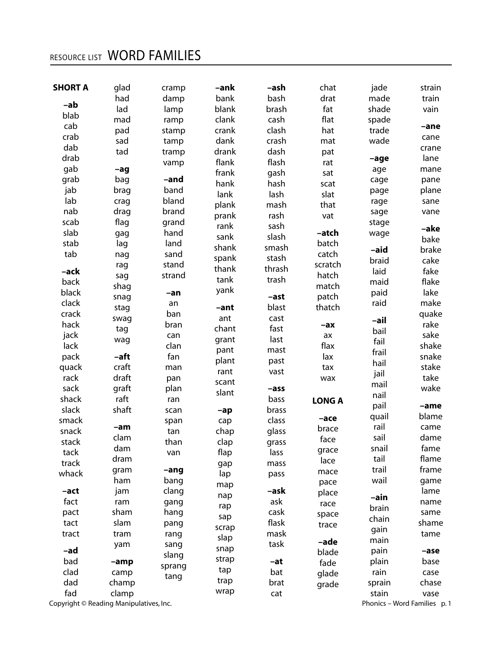## RESOURCE LIST WORD FAMILIES

| <b>SHORT A</b> | glad                                    | cramp  | -ank   | -ash   | chat          | jade   | strain                       |
|----------------|-----------------------------------------|--------|--------|--------|---------------|--------|------------------------------|
| -ab            | had                                     | damp   | bank   | bash   | drat          | made   | train                        |
|                | lad                                     | lamp   | blank  | brash  | fat           | shade  | vain                         |
| blab           | mad                                     | ramp   | clank  | cash   | flat          | spade  |                              |
| cab            | pad                                     | stamp  | crank  | clash  | hat           | trade  | -ane                         |
| crab           | sad                                     | tamp   | dank   | crash  | mat           | wade   | cane                         |
| dab            | tad                                     | tramp  | drank  | dash   | pat           |        | crane                        |
| drab           |                                         | vamp   | flank  | flash  | rat           | -age   | lane                         |
| gab            | $-aq$                                   |        | frank  | gash   | sat           | age    | mane                         |
| grab           | bag                                     | -and   | hank   | hash   | scat          | cage   | pane                         |
| jab            | brag                                    | band   | lank   | lash   | slat          | page   | plane                        |
| lab            | crag                                    | bland  | plank  | mash   | that          | rage   | sane                         |
| nab            | drag                                    | brand  | prank  | rash   | vat           | sage   | vane                         |
| scab           | flag                                    | grand  | rank   | sash   |               | stage  | -ake                         |
| slab           | gag                                     | hand   | sank   | slash  | -atch         | wage   | bake                         |
| stab           | lag                                     | land   | shank  | smash  | batch         | -aid   | brake                        |
| tab            | nag                                     | sand   | spank  | stash  | catch         |        |                              |
|                | rag                                     | stand  | thank  | thrash | scratch       | braid  | cake                         |
| -ack           | sag                                     | strand | tank   | trash  | hatch         | laid   | fake                         |
| back           | shag                                    |        | yank   |        | match         | maid   | flake                        |
| black          | snag                                    | -an    |        | -ast   | patch         | paid   | lake                         |
| clack          | stag                                    | an     | -ant   | blast  | thatch        | raid   | make                         |
| crack          | swag                                    | ban    | ant    | cast   |               | -ail   | quake                        |
| hack           | tag                                     | bran   | chant  | fast   | -ax           | bail   | rake                         |
| jack           | wag                                     | can    | grant  | last   | ax            | fail   | sake                         |
| lack           |                                         | clan   | pant   | mast   | flax          | frail  | shake                        |
| pack           | -aft                                    | fan    | plant  | past   | lax           | hail   | snake                        |
| quack          | craft                                   | man    | rant   | vast   | tax           | jail   | stake                        |
| rack           | draft                                   | pan    | scant  |        | wax           | mail   | take                         |
| sack           | graft                                   | plan   | slant  | -ass   |               | nail   | wake                         |
| shack          | raft                                    | ran    |        | bass   | <b>LONG A</b> |        |                              |
| slack          | shaft                                   | scan   | $-a$ p | brass  |               | pail   | -ame                         |
| smack          |                                         | span   | cap    | class  | -ace          | quail  | blame                        |
| snack          | -am                                     | tan    | chap   | glass  | brace         | rail   | came                         |
| stack          | clam                                    | than   | clap   | grass  | face          | sail   | dame                         |
| tack           | dam                                     | van    | flap   | lass   | grace         | snail  | fame                         |
| track          | dram                                    |        | gap    | mass   | lace          | tail   | flame                        |
| whack          | gram                                    | $-ang$ | lap    | pass   | mace          | trail  | frame                        |
|                | ham                                     | bang   | map    |        | pace          | wail   | game                         |
| -act           | jam                                     | clang  | nap    | –ask   | place         | -ain   | lame                         |
| fact           | ram                                     | gang   | rap    | ask    | race          | brain  | name                         |
| pact           | sham                                    | hang   | sap    | cask   | space         | chain  | same                         |
| tact           | slam                                    | pang   | scrap  | flask  | trace         |        | shame                        |
| tract          | tram                                    | rang   | slap   | mask   |               | gain   | tame                         |
|                | yam                                     | sang   | snap   | task   | -ade          | main   |                              |
| -ad            |                                         | slang  | strap  |        | blade         | pain   | -ase                         |
| bad            | $-amp$                                  | sprang | tap    | -at    | fade          | plain  | base                         |
| clad           | camp                                    | tang   |        | bat    | glade         | rain   | case                         |
| dad            | champ                                   |        | trap   | brat   | grade         | sprain | chase                        |
| fad            | clamp                                   |        | wrap   | cat    |               | stain  | vase                         |
|                | Copyright © Reading Manipulatives, Inc. |        |        |        |               |        | Phonics - Word Families p. 1 |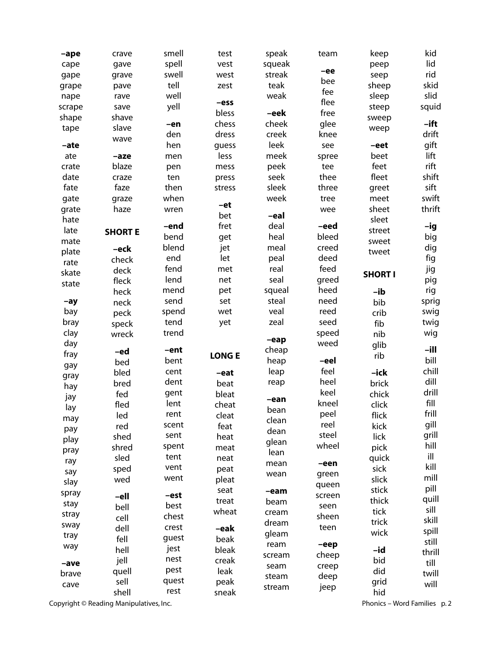| -ape   | crave          | smell | test         | speak  | team   | keep           | kid     |
|--------|----------------|-------|--------------|--------|--------|----------------|---------|
| cape   | gave           | spell | vest         | squeak |        | peep           | lid     |
| gape   | grave          | swell | west         | streak | -ee    | seep           | rid     |
| grape  | pave           | tell  | zest         | teak   | bee    | sheep          | skid    |
| nape   | rave           | well  |              | weak   | fee    | sleep          | slid    |
| scrape | save           | yell  | -ess         |        | flee   | steep          | squid   |
| shape  | shave          |       | bless        | -eek   | free   | sweep          |         |
| tape   | slave          | -en   | chess        | cheek  | glee   | weep           | $-$ ift |
|        | wave           | den   | dress        | creek  | knee   |                | drift   |
| -ate   |                | hen   | guess        | leek   | see    | -eet           | gift    |
| ate    | -aze           | men   | less         | meek   | spree  | beet           | lift    |
| crate  | blaze          | pen   | mess         | peek   | tee    | feet           | rift    |
| date   | craze          | ten   | press        | seek   | thee   | fleet          | shift   |
| fate   | faze           | then  | stress       | sleek  | three  | greet          | sift    |
| gate   | graze          | when  | -et          | week   | tree   | meet           | swift   |
| grate  | haze           | wren  | bet          | -eal   | wee    | sheet          | thrift  |
| hate   |                | -end  | fret         | deal   | -eed   | sleet          | -ig     |
| late   | <b>SHORT E</b> | bend  | get          | heal   | bleed  | street         | big     |
| mate   | -eck           | blend | jet          | meal   | creed  | sweet          | dig     |
| plate  | check          | end   | let          | peal   | deed   | tweet          | fig     |
| rate   | deck           | fend  | met          | real   | feed   |                | jig     |
| skate  | fleck          | lend  | net          | seal   | greed  | <b>SHORT I</b> | pig     |
| state  | heck           | mend  | pet          | squeal | heed   | -ib            | rig     |
| $-ay$  | neck           | send  | set          | steal  | need   | bib            | sprig   |
| bay    | peck           | spend | wet          | veal   | reed   | crib           | swig    |
| bray   | speck          | tend  | yet          | zeal   | seed   | fib            | twig    |
| clay   | wreck          | trend |              |        | speed  | nib            | wig     |
| day    |                |       |              | $-eap$ | weed   | glib           |         |
| fray   | -ed            | -ent  | <b>LONGE</b> | cheap  |        | rib            | -ill    |
| gay    | bed            | bent  |              | heap   | -eel   |                | bill    |
| gray   | bled           | cent  | -eat         | leap   | feel   | -ick           | chill   |
| hay    | bred           | dent  | beat         | reap   | heel   | brick          | dill    |
| jay    | fed            | gent  | bleat        | -ean   | keel   | chick          | drill   |
| lay    | fled           | lent  | cheat        | bean   | kneel  | click          | fill    |
| may    | led            | rent  | cleat        | clean  | peel   | flick          | frill   |
| pay    | red            | scent | feat         | dean   | reel   | kick           | gill    |
| play   | shed           | sent  | heat         | glean  | steel  | lick           | grill   |
| pray   | shred          | spent | meat         | lean   | wheel  | pick           | hill    |
| ray    | sled           | tent  | neat         | mean   | -een   | quick          | ill     |
| say    | sped           | vent  | peat         | wean   | green  | sick           | kill    |
| slay   | wed            | went  | pleat        |        | queen  | slick          | mill    |
| spray  | -ell           | -est  | seat         | -eam   | screen | stick          | pill    |
| stay   | bell           | best  | treat        | beam   | seen   | thick          | quill   |
| stray  | cell           | chest | wheat        | cream  | sheen  | tick           | sill    |
| sway   | dell           | crest | -eak         | dream  | teen   | trick          | skill   |
| tray   | fell           | guest | beak         | gleam  |        | wick           | spill   |
| way    | hell           | jest  | bleak        | ream   | -eep   | -id            | still   |
|        | jell           | nest  | creak        | scream | cheep  | bid            | thrill  |
| -ave   | quell          | pest  | leak         | seam   | creep  | did            | till    |
| brave  | sell           | quest | peak         | steam  | deep   | grid           | twill   |
| cave   | shell          | rest  | sneak        | stream | jeep   | hid            | will    |

Copyright © Reading Manipulatives, Inc. **Phonics – Word Families p. 2** Phonics – Word Families p. 2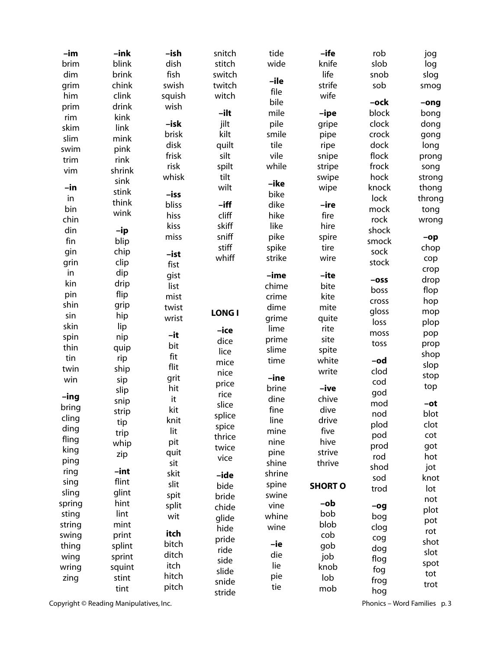| -im    | $-ink$ | -ish   | snitch       | tide    | -ife           | rob     | jog            |
|--------|--------|--------|--------------|---------|----------------|---------|----------------|
| brim   | blink  | dish   | stitch       | wide    | knife          | slob    | log            |
| dim    | brink  | fish   | switch       |         | life           | snob    | slog           |
| grim   | chink  | swish  | twitch       | -ile    | strife         | sob     | smog           |
| him    | clink  | squish | witch        | file    | wife           |         |                |
| prim   | drink  | wish   |              | bile    |                | -ock    | $-ong$         |
| rim    | kink   |        | -ilt         | mile    | -ipe           | block   | bong           |
| skim   | link   | -isk   | jilt         | pile    | gripe          | clock   | dong           |
| slim   | mink   | brisk  | kilt         | smile   | pipe           | crock   | gong           |
| swim   | pink   | disk   | quilt        | tile    | ripe           | dock    | long           |
| trim   | rink   | frisk  | silt         | vile    | snipe          | flock   | prong          |
| vim    | shrink | risk   | spilt        | while   | stripe         | frock   | song           |
|        | sink   | whisk  | tilt         | -ike    | swipe          | hock    | strong         |
| -in    | stink  | -iss   | wilt         | bike    | wipe           | knock   | thong          |
| in     | think  | bliss  | $-$ iff      | dike    | -ire           | lock    | throng         |
| bin    | wink   | hiss   | cliff        | hike    | fire           | mock    | tong           |
| chin   |        | kiss   | skiff        | like    | hire           | rock    | wrong          |
| din    | -ip    | miss   | sniff        | pike    | spire          | shock   |                |
| fin    | blip   |        | stiff        | spike   | tire           | smock   | $-$ op<br>chop |
| gin    | chip   | -ist   | whiff        | strike  | wire           | sock    |                |
| grin   | clip   | fist   |              |         |                | stock   | cop            |
| in     | dip    | gist   |              | -ime    | -ite           |         | crop           |
| kin    | drip   | list   |              | chime   | bite           | $-$ oss | drop           |
| pin    | flip   | mist   |              | crime   | kite           | boss    | flop           |
| shin   | grip   | twist  |              | dime    | mite           | cross   | hop            |
| sin    | hip    | wrist  | <b>LONGI</b> | grime   | quite          | gloss   | mop            |
| skin   | lip    |        | -ice         | lime    | rite           | loss    | plop           |
| spin   | nip    | -it    | dice         | prime   | site           | moss    | pop            |
| thin   | quip   | bit    | lice         | slime   | spite          | toss    | prop           |
| tin    | rip    | fit    | mice         | time    | white          | -od     | shop           |
| twin   | ship   | flit   | nice         |         | write          | clod    | slop           |
| win    | sip    | grit   | price        | $-$ ine |                | cod     | stop           |
|        | slip   | hit    | rice         | brine   | -ive           | god     | top            |
| $-ing$ | snip   | it     | slice        | dine    | chive          | mod     | -ot            |
| bring  | strip  | kit    | splice       | fine    | dive           | nod     | blot           |
| cling  | tip    | knit   | spice        | line    | drive          | plod    | clot           |
| ding   | trip   | lit    | thrice       | mine    | five           | pod     | cot            |
| fling  | whip   | pit    | twice        | nine    | hive           | prod    | got            |
| king   | zip    | quit   | vice         | pine    | strive         | rod     | hot            |
| ping   |        | sit    |              | shine   | thrive         | shod    | jot            |
| ring   | $-int$ | skit   | -ide         | shrine  |                | sod     | knot           |
| sing   | flint  | slit   | bide         | spine   | <b>SHORT O</b> | trod    | lot            |
| sling  | glint  | spit   | bride        | swine   |                |         | not            |
| spring | hint   | split  | chide        | vine    | -ob            | $-og$   | plot           |
| sting  | lint   | wit    | glide        | whine   | bob            | bog     | pot            |
| string | mint   |        | hide         | wine    | blob           | clog    | rot            |
| swing  | print  | itch   | pride        |         | cob            | cog     | shot           |
| thing  | splint | bitch  | ride         | -ie     | gob            | dog     | slot           |
| wing   | sprint | ditch  | side         | die     | job            | flog    | spot           |
| wring  | squint | itch   | slide        | lie     | knob           | fog     | tot            |
| zing   | stint  | hitch  | snide        | pie     | lob            | frog    | trot           |
|        | tint   | pitch  | stride       | tie     | mob            | hog     |                |

Copyright © Reading Manipulatives, Inc. **Phonics – Word Families p. 3** Phonics – Word Families p. 3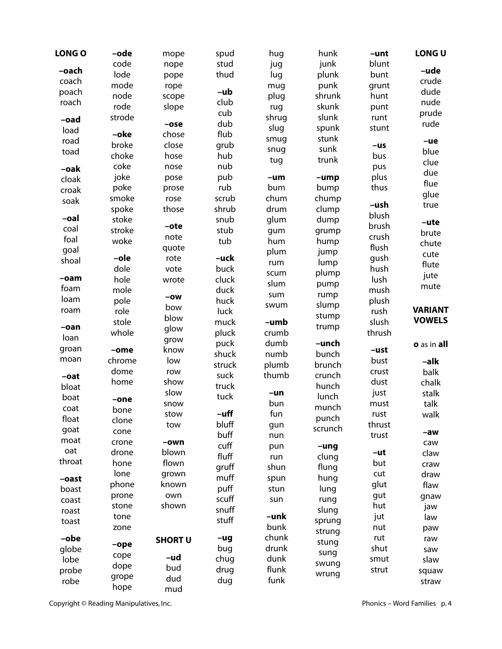| code<br>junk<br>blunt<br>stud<br>nope<br>jug<br>-ude<br>-oach<br>lode<br>thud<br>plunk<br>lug<br>bunt<br>pope<br>crude<br>coach<br>mode<br>punk<br>rope<br>grunt<br>mug<br>-ub<br>dude<br>poach<br>node<br>shrunk<br>plug<br>hunt<br>scope<br>club<br>nude<br>roach<br>rode<br>skunk<br>slope<br>rug<br>punt<br>cub<br>prude<br>strode<br>slunk<br>shrug<br>runt<br>-oad<br>dub<br>rude<br>$-ose$<br>slug<br>spunk<br>stunt<br>load<br>flub<br>-oke<br>chose<br>stunk<br>smug<br>road<br>$-\mathbf{ue}$<br>broke<br>grub<br>close<br>$-us$<br>sunk<br>snug<br>blue<br>toad<br>choke<br>hub<br>hose<br>bus<br>trunk<br>tug<br>clue<br>coke<br>nub<br>nose<br>pus<br>-oak<br>due<br>joke<br>pub<br>plus<br>pose<br>-um<br>-ump<br>cloak<br>flue<br>rub<br>poke<br>thus<br>bum<br>bump<br>prose<br>croak<br>glue<br>smoke<br>scrub<br>chum<br>chump<br>rose<br>soak<br>-ush<br>true<br>shrub<br>drum<br>spoke<br>those<br>clump<br>blush<br>-oal<br>stoke<br>snub<br>glum<br>dump<br>-ute<br>brush<br>-ote<br>coal<br>stroke<br>stub<br>gum<br>grump<br>brute<br>crush<br>note<br>foal<br>tub<br>woke<br>hum<br>hump<br>chute<br>flush<br>quote<br>goal<br>plum<br>jump<br>cute<br>-ole<br>gush<br>rote<br>-uck<br>shoal<br>lump<br>rum<br>flute<br>dole<br>buck<br>hush<br>vote<br>plump<br>scum<br>jute<br>$-oam$<br>hole<br>cluck<br>lush<br>wrote<br>slum<br>pump<br>mute<br>foam<br>mole<br>duck<br>mush<br>sum<br>rump<br>$-ow$<br>loam<br>pole<br>huck<br>plush<br>slump<br>swum<br>bow<br><b>VARIANT</b><br>roam<br>role<br>luck<br>rush<br>stump<br>blow<br><b>VOWELS</b><br>stole<br>muck<br>slush<br>-umb<br>trump<br>$-oan$<br>glow<br>whole<br>pluck<br>thrush<br>crumb<br>loan<br>grow<br>dumb<br>puck<br>-unch<br>o as in all<br>groan<br>know<br>-ust<br>-ome<br>shuck<br>numb<br>bunch<br>moan<br>low<br>chrome<br>bust<br>-alk<br>struck<br>plumb<br>brunch<br>dome<br>row<br>crust<br>balk<br>suck<br>thumb<br>crunch<br>-oat<br>dust<br>home<br>show<br>chalk<br>truck<br>hunch<br>bloat<br>slow<br>just<br>-un<br>stalk<br>tuck<br>lunch<br>boat<br>-one<br>bun<br>snow<br>must<br>talk<br>munch<br>coat<br>bone<br>$-$ uff<br>fun<br>walk<br>stow<br>rust<br>float<br>punch<br>clone<br>bluff<br>thrust<br>tow<br>gun<br>scrunch<br>goat<br>cone<br>-aw<br>buff<br>trust<br>nun<br>moat<br>crone<br>-own<br>caw<br>cuff<br>pun<br>-ung<br>oat<br>blown<br>drone<br>-ut<br>claw<br>fluff<br>clung<br>run<br>throat<br>hone<br>flown<br>but<br>craw<br>gruff<br>shun<br>flung<br>lone<br>cut<br>grown<br>draw<br>muff<br>hung<br>spun<br>-oast<br>glut<br>phone<br>known<br>flaw<br>puff<br>lung<br>stun<br>boast<br>prone<br>own<br>gut<br>gnaw<br>scuff<br>rung<br>sun<br>coast<br>hut<br>shown<br>stone<br>jaw<br>snuff<br>slung<br>roast<br>-unk<br>tone<br>jut<br>law<br>stuff<br>sprung<br>toast<br>bunk<br>nut<br>zone<br>paw<br>strung<br>chunk<br>rut<br>-obe<br>$-ug$<br>raw<br><b>SHORT U</b><br>stung<br>$-\mathbf{ope}$<br>drunk<br>shut<br>bug<br>globe<br>saw<br>sung<br>cope<br>$-\mathbf{u}$ d<br>dunk<br>chug<br>lobe<br>smut<br>slaw<br>swung<br>dope<br>bud<br>flunk<br>drug<br>strut<br>probe<br>squaw<br>wrung<br>grope<br>dud<br>funk<br>dug<br>robe<br>straw<br>hope<br>mud | <b>LONG O</b> | -ode | mope | spud | hug | hunk | -unt | LONG U |
|----------------------------------------------------------------------------------------------------------------------------------------------------------------------------------------------------------------------------------------------------------------------------------------------------------------------------------------------------------------------------------------------------------------------------------------------------------------------------------------------------------------------------------------------------------------------------------------------------------------------------------------------------------------------------------------------------------------------------------------------------------------------------------------------------------------------------------------------------------------------------------------------------------------------------------------------------------------------------------------------------------------------------------------------------------------------------------------------------------------------------------------------------------------------------------------------------------------------------------------------------------------------------------------------------------------------------------------------------------------------------------------------------------------------------------------------------------------------------------------------------------------------------------------------------------------------------------------------------------------------------------------------------------------------------------------------------------------------------------------------------------------------------------------------------------------------------------------------------------------------------------------------------------------------------------------------------------------------------------------------------------------------------------------------------------------------------------------------------------------------------------------------------------------------------------------------------------------------------------------------------------------------------------------------------------------------------------------------------------------------------------------------------------------------------------------------------------------------------------------------------------------------------------------------------------------------------------------------------------------------------------------------------------------------------------------------------------------------------------------------------------------------------------------------------------------------------------------------------------------------------------------------------------------------------------------------------------------------------------------------------------------------------------------------------------------------------------------------------------------------------------------------------------------------------------------------------------------------|---------------|------|------|------|-----|------|------|--------|
|                                                                                                                                                                                                                                                                                                                                                                                                                                                                                                                                                                                                                                                                                                                                                                                                                                                                                                                                                                                                                                                                                                                                                                                                                                                                                                                                                                                                                                                                                                                                                                                                                                                                                                                                                                                                                                                                                                                                                                                                                                                                                                                                                                                                                                                                                                                                                                                                                                                                                                                                                                                                                                                                                                                                                                                                                                                                                                                                                                                                                                                                                                                                                                                                                      |               |      |      |      |     |      |      |        |
|                                                                                                                                                                                                                                                                                                                                                                                                                                                                                                                                                                                                                                                                                                                                                                                                                                                                                                                                                                                                                                                                                                                                                                                                                                                                                                                                                                                                                                                                                                                                                                                                                                                                                                                                                                                                                                                                                                                                                                                                                                                                                                                                                                                                                                                                                                                                                                                                                                                                                                                                                                                                                                                                                                                                                                                                                                                                                                                                                                                                                                                                                                                                                                                                                      |               |      |      |      |     |      |      |        |
|                                                                                                                                                                                                                                                                                                                                                                                                                                                                                                                                                                                                                                                                                                                                                                                                                                                                                                                                                                                                                                                                                                                                                                                                                                                                                                                                                                                                                                                                                                                                                                                                                                                                                                                                                                                                                                                                                                                                                                                                                                                                                                                                                                                                                                                                                                                                                                                                                                                                                                                                                                                                                                                                                                                                                                                                                                                                                                                                                                                                                                                                                                                                                                                                                      |               |      |      |      |     |      |      |        |
|                                                                                                                                                                                                                                                                                                                                                                                                                                                                                                                                                                                                                                                                                                                                                                                                                                                                                                                                                                                                                                                                                                                                                                                                                                                                                                                                                                                                                                                                                                                                                                                                                                                                                                                                                                                                                                                                                                                                                                                                                                                                                                                                                                                                                                                                                                                                                                                                                                                                                                                                                                                                                                                                                                                                                                                                                                                                                                                                                                                                                                                                                                                                                                                                                      |               |      |      |      |     |      |      |        |
|                                                                                                                                                                                                                                                                                                                                                                                                                                                                                                                                                                                                                                                                                                                                                                                                                                                                                                                                                                                                                                                                                                                                                                                                                                                                                                                                                                                                                                                                                                                                                                                                                                                                                                                                                                                                                                                                                                                                                                                                                                                                                                                                                                                                                                                                                                                                                                                                                                                                                                                                                                                                                                                                                                                                                                                                                                                                                                                                                                                                                                                                                                                                                                                                                      |               |      |      |      |     |      |      |        |
|                                                                                                                                                                                                                                                                                                                                                                                                                                                                                                                                                                                                                                                                                                                                                                                                                                                                                                                                                                                                                                                                                                                                                                                                                                                                                                                                                                                                                                                                                                                                                                                                                                                                                                                                                                                                                                                                                                                                                                                                                                                                                                                                                                                                                                                                                                                                                                                                                                                                                                                                                                                                                                                                                                                                                                                                                                                                                                                                                                                                                                                                                                                                                                                                                      |               |      |      |      |     |      |      |        |
|                                                                                                                                                                                                                                                                                                                                                                                                                                                                                                                                                                                                                                                                                                                                                                                                                                                                                                                                                                                                                                                                                                                                                                                                                                                                                                                                                                                                                                                                                                                                                                                                                                                                                                                                                                                                                                                                                                                                                                                                                                                                                                                                                                                                                                                                                                                                                                                                                                                                                                                                                                                                                                                                                                                                                                                                                                                                                                                                                                                                                                                                                                                                                                                                                      |               |      |      |      |     |      |      |        |
|                                                                                                                                                                                                                                                                                                                                                                                                                                                                                                                                                                                                                                                                                                                                                                                                                                                                                                                                                                                                                                                                                                                                                                                                                                                                                                                                                                                                                                                                                                                                                                                                                                                                                                                                                                                                                                                                                                                                                                                                                                                                                                                                                                                                                                                                                                                                                                                                                                                                                                                                                                                                                                                                                                                                                                                                                                                                                                                                                                                                                                                                                                                                                                                                                      |               |      |      |      |     |      |      |        |
|                                                                                                                                                                                                                                                                                                                                                                                                                                                                                                                                                                                                                                                                                                                                                                                                                                                                                                                                                                                                                                                                                                                                                                                                                                                                                                                                                                                                                                                                                                                                                                                                                                                                                                                                                                                                                                                                                                                                                                                                                                                                                                                                                                                                                                                                                                                                                                                                                                                                                                                                                                                                                                                                                                                                                                                                                                                                                                                                                                                                                                                                                                                                                                                                                      |               |      |      |      |     |      |      |        |
|                                                                                                                                                                                                                                                                                                                                                                                                                                                                                                                                                                                                                                                                                                                                                                                                                                                                                                                                                                                                                                                                                                                                                                                                                                                                                                                                                                                                                                                                                                                                                                                                                                                                                                                                                                                                                                                                                                                                                                                                                                                                                                                                                                                                                                                                                                                                                                                                                                                                                                                                                                                                                                                                                                                                                                                                                                                                                                                                                                                                                                                                                                                                                                                                                      |               |      |      |      |     |      |      |        |
|                                                                                                                                                                                                                                                                                                                                                                                                                                                                                                                                                                                                                                                                                                                                                                                                                                                                                                                                                                                                                                                                                                                                                                                                                                                                                                                                                                                                                                                                                                                                                                                                                                                                                                                                                                                                                                                                                                                                                                                                                                                                                                                                                                                                                                                                                                                                                                                                                                                                                                                                                                                                                                                                                                                                                                                                                                                                                                                                                                                                                                                                                                                                                                                                                      |               |      |      |      |     |      |      |        |
|                                                                                                                                                                                                                                                                                                                                                                                                                                                                                                                                                                                                                                                                                                                                                                                                                                                                                                                                                                                                                                                                                                                                                                                                                                                                                                                                                                                                                                                                                                                                                                                                                                                                                                                                                                                                                                                                                                                                                                                                                                                                                                                                                                                                                                                                                                                                                                                                                                                                                                                                                                                                                                                                                                                                                                                                                                                                                                                                                                                                                                                                                                                                                                                                                      |               |      |      |      |     |      |      |        |
|                                                                                                                                                                                                                                                                                                                                                                                                                                                                                                                                                                                                                                                                                                                                                                                                                                                                                                                                                                                                                                                                                                                                                                                                                                                                                                                                                                                                                                                                                                                                                                                                                                                                                                                                                                                                                                                                                                                                                                                                                                                                                                                                                                                                                                                                                                                                                                                                                                                                                                                                                                                                                                                                                                                                                                                                                                                                                                                                                                                                                                                                                                                                                                                                                      |               |      |      |      |     |      |      |        |
|                                                                                                                                                                                                                                                                                                                                                                                                                                                                                                                                                                                                                                                                                                                                                                                                                                                                                                                                                                                                                                                                                                                                                                                                                                                                                                                                                                                                                                                                                                                                                                                                                                                                                                                                                                                                                                                                                                                                                                                                                                                                                                                                                                                                                                                                                                                                                                                                                                                                                                                                                                                                                                                                                                                                                                                                                                                                                                                                                                                                                                                                                                                                                                                                                      |               |      |      |      |     |      |      |        |
|                                                                                                                                                                                                                                                                                                                                                                                                                                                                                                                                                                                                                                                                                                                                                                                                                                                                                                                                                                                                                                                                                                                                                                                                                                                                                                                                                                                                                                                                                                                                                                                                                                                                                                                                                                                                                                                                                                                                                                                                                                                                                                                                                                                                                                                                                                                                                                                                                                                                                                                                                                                                                                                                                                                                                                                                                                                                                                                                                                                                                                                                                                                                                                                                                      |               |      |      |      |     |      |      |        |
|                                                                                                                                                                                                                                                                                                                                                                                                                                                                                                                                                                                                                                                                                                                                                                                                                                                                                                                                                                                                                                                                                                                                                                                                                                                                                                                                                                                                                                                                                                                                                                                                                                                                                                                                                                                                                                                                                                                                                                                                                                                                                                                                                                                                                                                                                                                                                                                                                                                                                                                                                                                                                                                                                                                                                                                                                                                                                                                                                                                                                                                                                                                                                                                                                      |               |      |      |      |     |      |      |        |
|                                                                                                                                                                                                                                                                                                                                                                                                                                                                                                                                                                                                                                                                                                                                                                                                                                                                                                                                                                                                                                                                                                                                                                                                                                                                                                                                                                                                                                                                                                                                                                                                                                                                                                                                                                                                                                                                                                                                                                                                                                                                                                                                                                                                                                                                                                                                                                                                                                                                                                                                                                                                                                                                                                                                                                                                                                                                                                                                                                                                                                                                                                                                                                                                                      |               |      |      |      |     |      |      |        |
|                                                                                                                                                                                                                                                                                                                                                                                                                                                                                                                                                                                                                                                                                                                                                                                                                                                                                                                                                                                                                                                                                                                                                                                                                                                                                                                                                                                                                                                                                                                                                                                                                                                                                                                                                                                                                                                                                                                                                                                                                                                                                                                                                                                                                                                                                                                                                                                                                                                                                                                                                                                                                                                                                                                                                                                                                                                                                                                                                                                                                                                                                                                                                                                                                      |               |      |      |      |     |      |      |        |
|                                                                                                                                                                                                                                                                                                                                                                                                                                                                                                                                                                                                                                                                                                                                                                                                                                                                                                                                                                                                                                                                                                                                                                                                                                                                                                                                                                                                                                                                                                                                                                                                                                                                                                                                                                                                                                                                                                                                                                                                                                                                                                                                                                                                                                                                                                                                                                                                                                                                                                                                                                                                                                                                                                                                                                                                                                                                                                                                                                                                                                                                                                                                                                                                                      |               |      |      |      |     |      |      |        |
|                                                                                                                                                                                                                                                                                                                                                                                                                                                                                                                                                                                                                                                                                                                                                                                                                                                                                                                                                                                                                                                                                                                                                                                                                                                                                                                                                                                                                                                                                                                                                                                                                                                                                                                                                                                                                                                                                                                                                                                                                                                                                                                                                                                                                                                                                                                                                                                                                                                                                                                                                                                                                                                                                                                                                                                                                                                                                                                                                                                                                                                                                                                                                                                                                      |               |      |      |      |     |      |      |        |
|                                                                                                                                                                                                                                                                                                                                                                                                                                                                                                                                                                                                                                                                                                                                                                                                                                                                                                                                                                                                                                                                                                                                                                                                                                                                                                                                                                                                                                                                                                                                                                                                                                                                                                                                                                                                                                                                                                                                                                                                                                                                                                                                                                                                                                                                                                                                                                                                                                                                                                                                                                                                                                                                                                                                                                                                                                                                                                                                                                                                                                                                                                                                                                                                                      |               |      |      |      |     |      |      |        |
|                                                                                                                                                                                                                                                                                                                                                                                                                                                                                                                                                                                                                                                                                                                                                                                                                                                                                                                                                                                                                                                                                                                                                                                                                                                                                                                                                                                                                                                                                                                                                                                                                                                                                                                                                                                                                                                                                                                                                                                                                                                                                                                                                                                                                                                                                                                                                                                                                                                                                                                                                                                                                                                                                                                                                                                                                                                                                                                                                                                                                                                                                                                                                                                                                      |               |      |      |      |     |      |      |        |
|                                                                                                                                                                                                                                                                                                                                                                                                                                                                                                                                                                                                                                                                                                                                                                                                                                                                                                                                                                                                                                                                                                                                                                                                                                                                                                                                                                                                                                                                                                                                                                                                                                                                                                                                                                                                                                                                                                                                                                                                                                                                                                                                                                                                                                                                                                                                                                                                                                                                                                                                                                                                                                                                                                                                                                                                                                                                                                                                                                                                                                                                                                                                                                                                                      |               |      |      |      |     |      |      |        |
|                                                                                                                                                                                                                                                                                                                                                                                                                                                                                                                                                                                                                                                                                                                                                                                                                                                                                                                                                                                                                                                                                                                                                                                                                                                                                                                                                                                                                                                                                                                                                                                                                                                                                                                                                                                                                                                                                                                                                                                                                                                                                                                                                                                                                                                                                                                                                                                                                                                                                                                                                                                                                                                                                                                                                                                                                                                                                                                                                                                                                                                                                                                                                                                                                      |               |      |      |      |     |      |      |        |
|                                                                                                                                                                                                                                                                                                                                                                                                                                                                                                                                                                                                                                                                                                                                                                                                                                                                                                                                                                                                                                                                                                                                                                                                                                                                                                                                                                                                                                                                                                                                                                                                                                                                                                                                                                                                                                                                                                                                                                                                                                                                                                                                                                                                                                                                                                                                                                                                                                                                                                                                                                                                                                                                                                                                                                                                                                                                                                                                                                                                                                                                                                                                                                                                                      |               |      |      |      |     |      |      |        |
|                                                                                                                                                                                                                                                                                                                                                                                                                                                                                                                                                                                                                                                                                                                                                                                                                                                                                                                                                                                                                                                                                                                                                                                                                                                                                                                                                                                                                                                                                                                                                                                                                                                                                                                                                                                                                                                                                                                                                                                                                                                                                                                                                                                                                                                                                                                                                                                                                                                                                                                                                                                                                                                                                                                                                                                                                                                                                                                                                                                                                                                                                                                                                                                                                      |               |      |      |      |     |      |      |        |
|                                                                                                                                                                                                                                                                                                                                                                                                                                                                                                                                                                                                                                                                                                                                                                                                                                                                                                                                                                                                                                                                                                                                                                                                                                                                                                                                                                                                                                                                                                                                                                                                                                                                                                                                                                                                                                                                                                                                                                                                                                                                                                                                                                                                                                                                                                                                                                                                                                                                                                                                                                                                                                                                                                                                                                                                                                                                                                                                                                                                                                                                                                                                                                                                                      |               |      |      |      |     |      |      |        |
|                                                                                                                                                                                                                                                                                                                                                                                                                                                                                                                                                                                                                                                                                                                                                                                                                                                                                                                                                                                                                                                                                                                                                                                                                                                                                                                                                                                                                                                                                                                                                                                                                                                                                                                                                                                                                                                                                                                                                                                                                                                                                                                                                                                                                                                                                                                                                                                                                                                                                                                                                                                                                                                                                                                                                                                                                                                                                                                                                                                                                                                                                                                                                                                                                      |               |      |      |      |     |      |      |        |
|                                                                                                                                                                                                                                                                                                                                                                                                                                                                                                                                                                                                                                                                                                                                                                                                                                                                                                                                                                                                                                                                                                                                                                                                                                                                                                                                                                                                                                                                                                                                                                                                                                                                                                                                                                                                                                                                                                                                                                                                                                                                                                                                                                                                                                                                                                                                                                                                                                                                                                                                                                                                                                                                                                                                                                                                                                                                                                                                                                                                                                                                                                                                                                                                                      |               |      |      |      |     |      |      |        |
|                                                                                                                                                                                                                                                                                                                                                                                                                                                                                                                                                                                                                                                                                                                                                                                                                                                                                                                                                                                                                                                                                                                                                                                                                                                                                                                                                                                                                                                                                                                                                                                                                                                                                                                                                                                                                                                                                                                                                                                                                                                                                                                                                                                                                                                                                                                                                                                                                                                                                                                                                                                                                                                                                                                                                                                                                                                                                                                                                                                                                                                                                                                                                                                                                      |               |      |      |      |     |      |      |        |
|                                                                                                                                                                                                                                                                                                                                                                                                                                                                                                                                                                                                                                                                                                                                                                                                                                                                                                                                                                                                                                                                                                                                                                                                                                                                                                                                                                                                                                                                                                                                                                                                                                                                                                                                                                                                                                                                                                                                                                                                                                                                                                                                                                                                                                                                                                                                                                                                                                                                                                                                                                                                                                                                                                                                                                                                                                                                                                                                                                                                                                                                                                                                                                                                                      |               |      |      |      |     |      |      |        |
|                                                                                                                                                                                                                                                                                                                                                                                                                                                                                                                                                                                                                                                                                                                                                                                                                                                                                                                                                                                                                                                                                                                                                                                                                                                                                                                                                                                                                                                                                                                                                                                                                                                                                                                                                                                                                                                                                                                                                                                                                                                                                                                                                                                                                                                                                                                                                                                                                                                                                                                                                                                                                                                                                                                                                                                                                                                                                                                                                                                                                                                                                                                                                                                                                      |               |      |      |      |     |      |      |        |
|                                                                                                                                                                                                                                                                                                                                                                                                                                                                                                                                                                                                                                                                                                                                                                                                                                                                                                                                                                                                                                                                                                                                                                                                                                                                                                                                                                                                                                                                                                                                                                                                                                                                                                                                                                                                                                                                                                                                                                                                                                                                                                                                                                                                                                                                                                                                                                                                                                                                                                                                                                                                                                                                                                                                                                                                                                                                                                                                                                                                                                                                                                                                                                                                                      |               |      |      |      |     |      |      |        |
|                                                                                                                                                                                                                                                                                                                                                                                                                                                                                                                                                                                                                                                                                                                                                                                                                                                                                                                                                                                                                                                                                                                                                                                                                                                                                                                                                                                                                                                                                                                                                                                                                                                                                                                                                                                                                                                                                                                                                                                                                                                                                                                                                                                                                                                                                                                                                                                                                                                                                                                                                                                                                                                                                                                                                                                                                                                                                                                                                                                                                                                                                                                                                                                                                      |               |      |      |      |     |      |      |        |
|                                                                                                                                                                                                                                                                                                                                                                                                                                                                                                                                                                                                                                                                                                                                                                                                                                                                                                                                                                                                                                                                                                                                                                                                                                                                                                                                                                                                                                                                                                                                                                                                                                                                                                                                                                                                                                                                                                                                                                                                                                                                                                                                                                                                                                                                                                                                                                                                                                                                                                                                                                                                                                                                                                                                                                                                                                                                                                                                                                                                                                                                                                                                                                                                                      |               |      |      |      |     |      |      |        |
|                                                                                                                                                                                                                                                                                                                                                                                                                                                                                                                                                                                                                                                                                                                                                                                                                                                                                                                                                                                                                                                                                                                                                                                                                                                                                                                                                                                                                                                                                                                                                                                                                                                                                                                                                                                                                                                                                                                                                                                                                                                                                                                                                                                                                                                                                                                                                                                                                                                                                                                                                                                                                                                                                                                                                                                                                                                                                                                                                                                                                                                                                                                                                                                                                      |               |      |      |      |     |      |      |        |
|                                                                                                                                                                                                                                                                                                                                                                                                                                                                                                                                                                                                                                                                                                                                                                                                                                                                                                                                                                                                                                                                                                                                                                                                                                                                                                                                                                                                                                                                                                                                                                                                                                                                                                                                                                                                                                                                                                                                                                                                                                                                                                                                                                                                                                                                                                                                                                                                                                                                                                                                                                                                                                                                                                                                                                                                                                                                                                                                                                                                                                                                                                                                                                                                                      |               |      |      |      |     |      |      |        |
|                                                                                                                                                                                                                                                                                                                                                                                                                                                                                                                                                                                                                                                                                                                                                                                                                                                                                                                                                                                                                                                                                                                                                                                                                                                                                                                                                                                                                                                                                                                                                                                                                                                                                                                                                                                                                                                                                                                                                                                                                                                                                                                                                                                                                                                                                                                                                                                                                                                                                                                                                                                                                                                                                                                                                                                                                                                                                                                                                                                                                                                                                                                                                                                                                      |               |      |      |      |     |      |      |        |
|                                                                                                                                                                                                                                                                                                                                                                                                                                                                                                                                                                                                                                                                                                                                                                                                                                                                                                                                                                                                                                                                                                                                                                                                                                                                                                                                                                                                                                                                                                                                                                                                                                                                                                                                                                                                                                                                                                                                                                                                                                                                                                                                                                                                                                                                                                                                                                                                                                                                                                                                                                                                                                                                                                                                                                                                                                                                                                                                                                                                                                                                                                                                                                                                                      |               |      |      |      |     |      |      |        |
|                                                                                                                                                                                                                                                                                                                                                                                                                                                                                                                                                                                                                                                                                                                                                                                                                                                                                                                                                                                                                                                                                                                                                                                                                                                                                                                                                                                                                                                                                                                                                                                                                                                                                                                                                                                                                                                                                                                                                                                                                                                                                                                                                                                                                                                                                                                                                                                                                                                                                                                                                                                                                                                                                                                                                                                                                                                                                                                                                                                                                                                                                                                                                                                                                      |               |      |      |      |     |      |      |        |
|                                                                                                                                                                                                                                                                                                                                                                                                                                                                                                                                                                                                                                                                                                                                                                                                                                                                                                                                                                                                                                                                                                                                                                                                                                                                                                                                                                                                                                                                                                                                                                                                                                                                                                                                                                                                                                                                                                                                                                                                                                                                                                                                                                                                                                                                                                                                                                                                                                                                                                                                                                                                                                                                                                                                                                                                                                                                                                                                                                                                                                                                                                                                                                                                                      |               |      |      |      |     |      |      |        |
|                                                                                                                                                                                                                                                                                                                                                                                                                                                                                                                                                                                                                                                                                                                                                                                                                                                                                                                                                                                                                                                                                                                                                                                                                                                                                                                                                                                                                                                                                                                                                                                                                                                                                                                                                                                                                                                                                                                                                                                                                                                                                                                                                                                                                                                                                                                                                                                                                                                                                                                                                                                                                                                                                                                                                                                                                                                                                                                                                                                                                                                                                                                                                                                                                      |               |      |      |      |     |      |      |        |
|                                                                                                                                                                                                                                                                                                                                                                                                                                                                                                                                                                                                                                                                                                                                                                                                                                                                                                                                                                                                                                                                                                                                                                                                                                                                                                                                                                                                                                                                                                                                                                                                                                                                                                                                                                                                                                                                                                                                                                                                                                                                                                                                                                                                                                                                                                                                                                                                                                                                                                                                                                                                                                                                                                                                                                                                                                                                                                                                                                                                                                                                                                                                                                                                                      |               |      |      |      |     |      |      |        |
|                                                                                                                                                                                                                                                                                                                                                                                                                                                                                                                                                                                                                                                                                                                                                                                                                                                                                                                                                                                                                                                                                                                                                                                                                                                                                                                                                                                                                                                                                                                                                                                                                                                                                                                                                                                                                                                                                                                                                                                                                                                                                                                                                                                                                                                                                                                                                                                                                                                                                                                                                                                                                                                                                                                                                                                                                                                                                                                                                                                                                                                                                                                                                                                                                      |               |      |      |      |     |      |      |        |
|                                                                                                                                                                                                                                                                                                                                                                                                                                                                                                                                                                                                                                                                                                                                                                                                                                                                                                                                                                                                                                                                                                                                                                                                                                                                                                                                                                                                                                                                                                                                                                                                                                                                                                                                                                                                                                                                                                                                                                                                                                                                                                                                                                                                                                                                                                                                                                                                                                                                                                                                                                                                                                                                                                                                                                                                                                                                                                                                                                                                                                                                                                                                                                                                                      |               |      |      |      |     |      |      |        |
|                                                                                                                                                                                                                                                                                                                                                                                                                                                                                                                                                                                                                                                                                                                                                                                                                                                                                                                                                                                                                                                                                                                                                                                                                                                                                                                                                                                                                                                                                                                                                                                                                                                                                                                                                                                                                                                                                                                                                                                                                                                                                                                                                                                                                                                                                                                                                                                                                                                                                                                                                                                                                                                                                                                                                                                                                                                                                                                                                                                                                                                                                                                                                                                                                      |               |      |      |      |     |      |      |        |
|                                                                                                                                                                                                                                                                                                                                                                                                                                                                                                                                                                                                                                                                                                                                                                                                                                                                                                                                                                                                                                                                                                                                                                                                                                                                                                                                                                                                                                                                                                                                                                                                                                                                                                                                                                                                                                                                                                                                                                                                                                                                                                                                                                                                                                                                                                                                                                                                                                                                                                                                                                                                                                                                                                                                                                                                                                                                                                                                                                                                                                                                                                                                                                                                                      |               |      |      |      |     |      |      |        |
|                                                                                                                                                                                                                                                                                                                                                                                                                                                                                                                                                                                                                                                                                                                                                                                                                                                                                                                                                                                                                                                                                                                                                                                                                                                                                                                                                                                                                                                                                                                                                                                                                                                                                                                                                                                                                                                                                                                                                                                                                                                                                                                                                                                                                                                                                                                                                                                                                                                                                                                                                                                                                                                                                                                                                                                                                                                                                                                                                                                                                                                                                                                                                                                                                      |               |      |      |      |     |      |      |        |
|                                                                                                                                                                                                                                                                                                                                                                                                                                                                                                                                                                                                                                                                                                                                                                                                                                                                                                                                                                                                                                                                                                                                                                                                                                                                                                                                                                                                                                                                                                                                                                                                                                                                                                                                                                                                                                                                                                                                                                                                                                                                                                                                                                                                                                                                                                                                                                                                                                                                                                                                                                                                                                                                                                                                                                                                                                                                                                                                                                                                                                                                                                                                                                                                                      |               |      |      |      |     |      |      |        |
|                                                                                                                                                                                                                                                                                                                                                                                                                                                                                                                                                                                                                                                                                                                                                                                                                                                                                                                                                                                                                                                                                                                                                                                                                                                                                                                                                                                                                                                                                                                                                                                                                                                                                                                                                                                                                                                                                                                                                                                                                                                                                                                                                                                                                                                                                                                                                                                                                                                                                                                                                                                                                                                                                                                                                                                                                                                                                                                                                                                                                                                                                                                                                                                                                      |               |      |      |      |     |      |      |        |
|                                                                                                                                                                                                                                                                                                                                                                                                                                                                                                                                                                                                                                                                                                                                                                                                                                                                                                                                                                                                                                                                                                                                                                                                                                                                                                                                                                                                                                                                                                                                                                                                                                                                                                                                                                                                                                                                                                                                                                                                                                                                                                                                                                                                                                                                                                                                                                                                                                                                                                                                                                                                                                                                                                                                                                                                                                                                                                                                                                                                                                                                                                                                                                                                                      |               |      |      |      |     |      |      |        |

Copyright © Reading Manipulatives, Inc. extending the extendion of the Phonics – Word Families p. 4